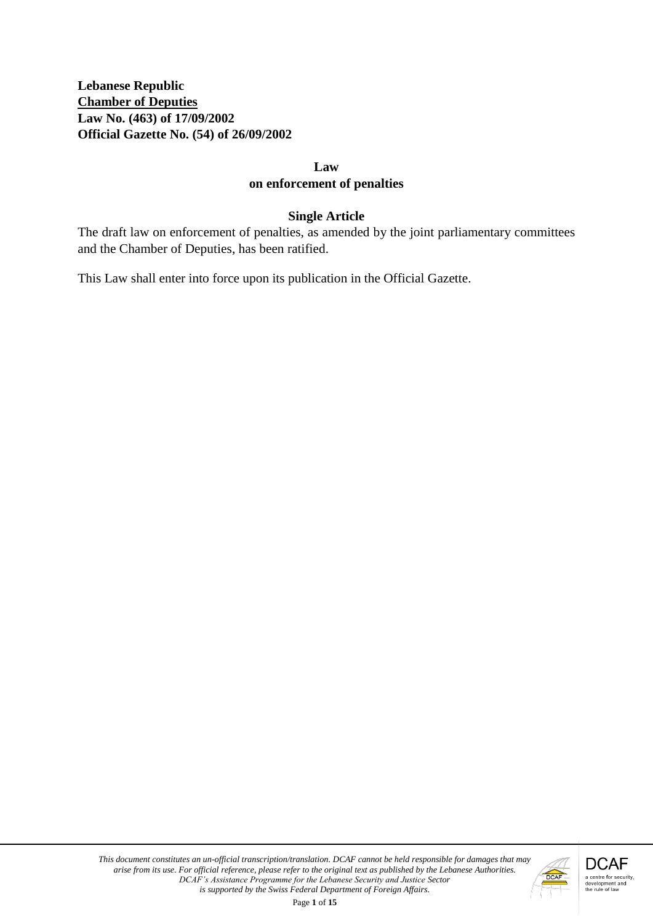**Lebanese Republic Chamber of Deputies Law No. (463) of 17/09/2002 Official Gazette No. (54) of 26/09/2002**

#### **Law**

#### **on enforcement of penalties**

#### **Single Article**

The draft law on enforcement of penalties, as amended by the joint parliamentary committees and the Chamber of Deputies, has been ratified.

This Law shall enter into force upon its publication in the Official Gazette.

Page **1** of **15**

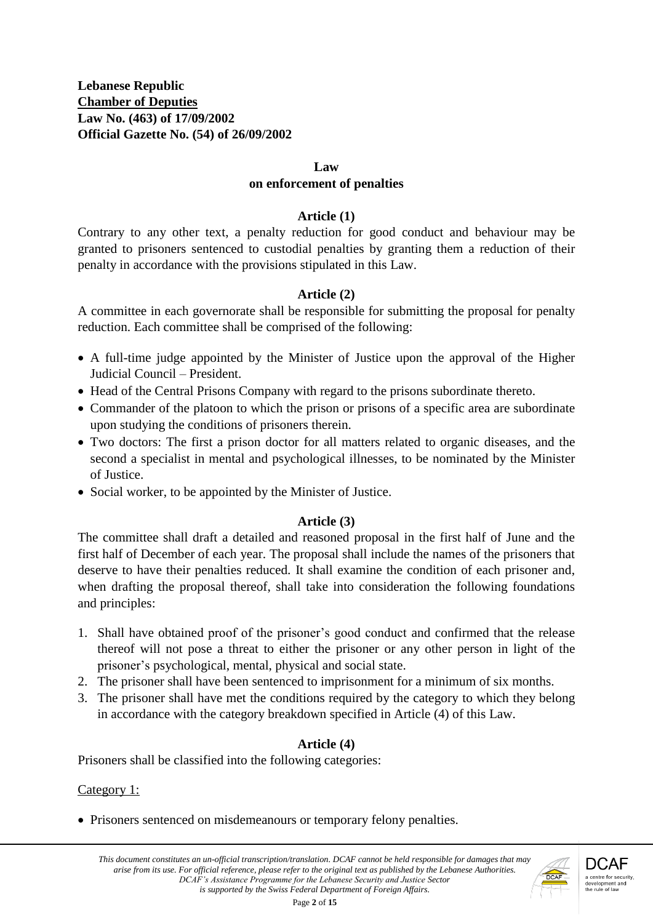#### **Law**

#### **on enforcement of penalties**

#### **Article (1)**

Contrary to any other text, a penalty reduction for good conduct and behaviour may be granted to prisoners sentenced to custodial penalties by granting them a reduction of their penalty in accordance with the provisions stipulated in this Law.

### **Article (2)**

A committee in each governorate shall be responsible for submitting the proposal for penalty reduction. Each committee shall be comprised of the following:

- A full-time judge appointed by the Minister of Justice upon the approval of the Higher Judicial Council – President.
- Head of the Central Prisons Company with regard to the prisons subordinate thereto.
- Commander of the platoon to which the prison or prisons of a specific area are subordinate upon studying the conditions of prisoners therein.
- Two doctors: The first a prison doctor for all matters related to organic diseases, and the second a specialist in mental and psychological illnesses, to be nominated by the Minister of Justice.
- Social worker, to be appointed by the Minister of Justice.

#### **Article (3)**

The committee shall draft a detailed and reasoned proposal in the first half of June and the first half of December of each year. The proposal shall include the names of the prisoners that deserve to have their penalties reduced. It shall examine the condition of each prisoner and, when drafting the proposal thereof, shall take into consideration the following foundations and principles:

- 1. Shall have obtained proof of the prisoner's good conduct and confirmed that the release thereof will not pose a threat to either the prisoner or any other person in light of the prisoner's psychological, mental, physical and social state.
- 2. The prisoner shall have been sentenced to imprisonment for a minimum of six months.
- 3. The prisoner shall have met the conditions required by the category to which they belong in accordance with the category breakdown specified in Article (4) of this Law.

# **Article (4)**

Prisoners shall be classified into the following categories:

#### Category 1:

• Prisoners sentenced on misdemeanours or temporary felony penalties.

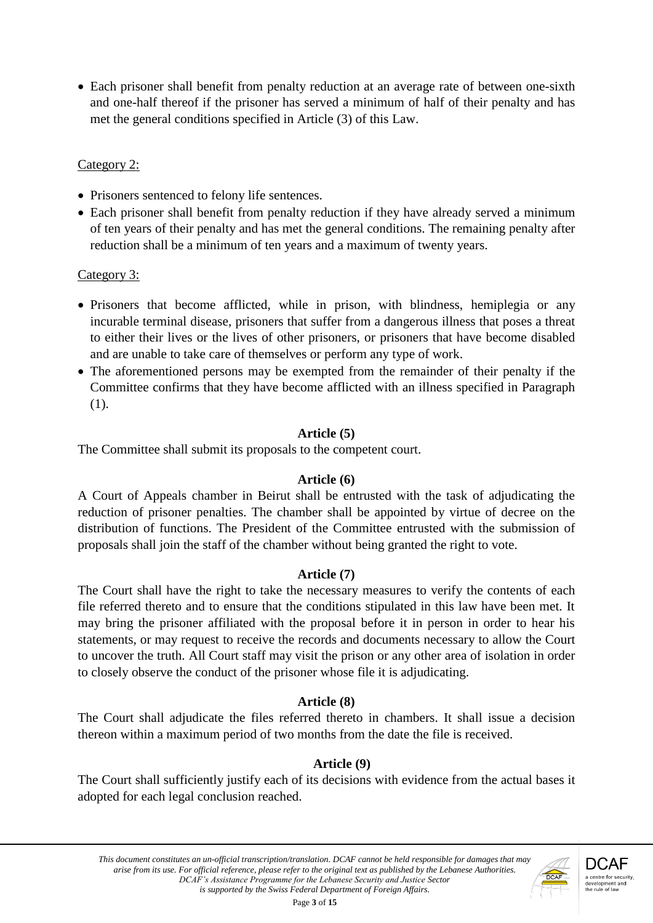Each prisoner shall benefit from penalty reduction at an average rate of between one-sixth and one-half thereof if the prisoner has served a minimum of half of their penalty and has met the general conditions specified in Article (3) of this Law.

# Category 2:

- Prisoners sentenced to felony life sentences.
- Each prisoner shall benefit from penalty reduction if they have already served a minimum of ten years of their penalty and has met the general conditions. The remaining penalty after reduction shall be a minimum of ten years and a maximum of twenty years.

# Category 3:

- Prisoners that become afflicted, while in prison, with blindness, hemiplegia or any incurable terminal disease, prisoners that suffer from a dangerous illness that poses a threat to either their lives or the lives of other prisoners, or prisoners that have become disabled and are unable to take care of themselves or perform any type of work.
- The aforementioned persons may be exempted from the remainder of their penalty if the Committee confirms that they have become afflicted with an illness specified in Paragraph (1).

# **Article (5)**

The Committee shall submit its proposals to the competent court.

# **Article (6)**

A Court of Appeals chamber in Beirut shall be entrusted with the task of adjudicating the reduction of prisoner penalties. The chamber shall be appointed by virtue of decree on the distribution of functions. The President of the Committee entrusted with the submission of proposals shall join the staff of the chamber without being granted the right to vote.

# **Article (7)**

The Court shall have the right to take the necessary measures to verify the contents of each file referred thereto and to ensure that the conditions stipulated in this law have been met. It may bring the prisoner affiliated with the proposal before it in person in order to hear his statements, or may request to receive the records and documents necessary to allow the Court to uncover the truth. All Court staff may visit the prison or any other area of isolation in order to closely observe the conduct of the prisoner whose file it is adjudicating.

# **Article (8)**

The Court shall adjudicate the files referred thereto in chambers. It shall issue a decision thereon within a maximum period of two months from the date the file is received.

# **Article (9)**

The Court shall sufficiently justify each of its decisions with evidence from the actual bases it adopted for each legal conclusion reached.

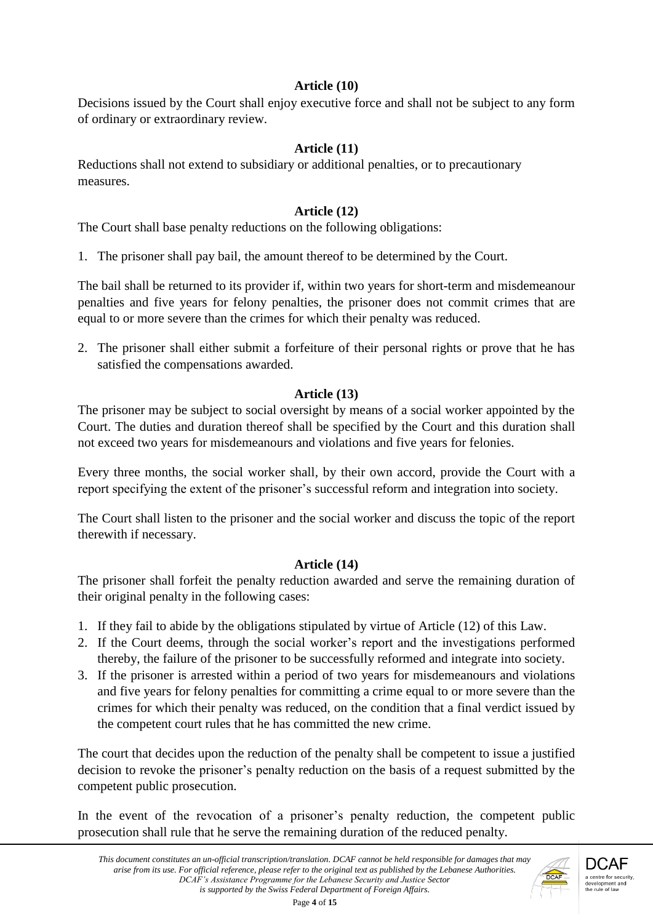# **Article (10)**

Decisions issued by the Court shall enjoy executive force and shall not be subject to any form of ordinary or extraordinary review.

# **Article (11)**

Reductions shall not extend to subsidiary or additional penalties, or to precautionary measures.

# **Article (12)**

The Court shall base penalty reductions on the following obligations:

1. The prisoner shall pay bail, the amount thereof to be determined by the Court.

The bail shall be returned to its provider if, within two years for short-term and misdemeanour penalties and five years for felony penalties, the prisoner does not commit crimes that are equal to or more severe than the crimes for which their penalty was reduced.

2. The prisoner shall either submit a forfeiture of their personal rights or prove that he has satisfied the compensations awarded.

# **Article (13)**

The prisoner may be subject to social oversight by means of a social worker appointed by the Court. The duties and duration thereof shall be specified by the Court and this duration shall not exceed two years for misdemeanours and violations and five years for felonies.

Every three months, the social worker shall, by their own accord, provide the Court with a report specifying the extent of the prisoner's successful reform and integration into society.

The Court shall listen to the prisoner and the social worker and discuss the topic of the report therewith if necessary.

# **Article (14)**

The prisoner shall forfeit the penalty reduction awarded and serve the remaining duration of their original penalty in the following cases:

- 1. If they fail to abide by the obligations stipulated by virtue of Article (12) of this Law.
- 2. If the Court deems, through the social worker's report and the investigations performed thereby, the failure of the prisoner to be successfully reformed and integrate into society.
- 3. If the prisoner is arrested within a period of two years for misdemeanours and violations and five years for felony penalties for committing a crime equal to or more severe than the crimes for which their penalty was reduced, on the condition that a final verdict issued by the competent court rules that he has committed the new crime.

The court that decides upon the reduction of the penalty shall be competent to issue a justified decision to revoke the prisoner's penalty reduction on the basis of a request submitted by the competent public prosecution.

In the event of the revocation of a prisoner's penalty reduction, the competent public prosecution shall rule that he serve the remaining duration of the reduced penalty.

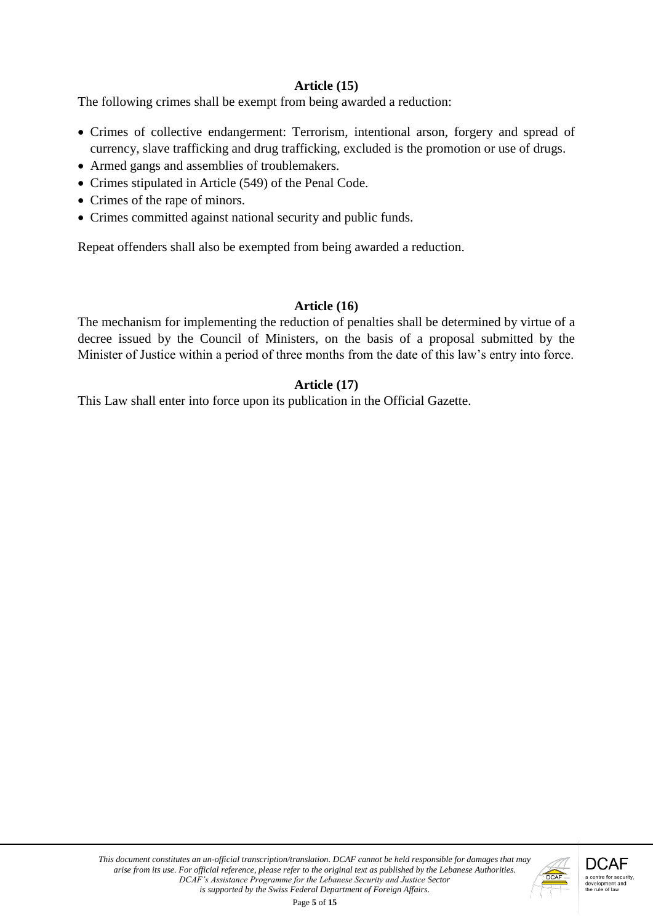### **Article (15)**

The following crimes shall be exempt from being awarded a reduction:

- Crimes of collective endangerment: Terrorism, intentional arson, forgery and spread of currency, slave trafficking and drug trafficking, excluded is the promotion or use of drugs.
- Armed gangs and assemblies of troublemakers.
- Crimes stipulated in Article (549) of the Penal Code.
- Crimes of the rape of minors.
- Crimes committed against national security and public funds.

Repeat offenders shall also be exempted from being awarded a reduction.

#### **Article (16)**

The mechanism for implementing the reduction of penalties shall be determined by virtue of a decree issued by the Council of Ministers, on the basis of a proposal submitted by the Minister of Justice within a period of three months from the date of this law's entry into force.

### **Article (17)**

This Law shall enter into force upon its publication in the Official Gazette.

Page **5** of **15**

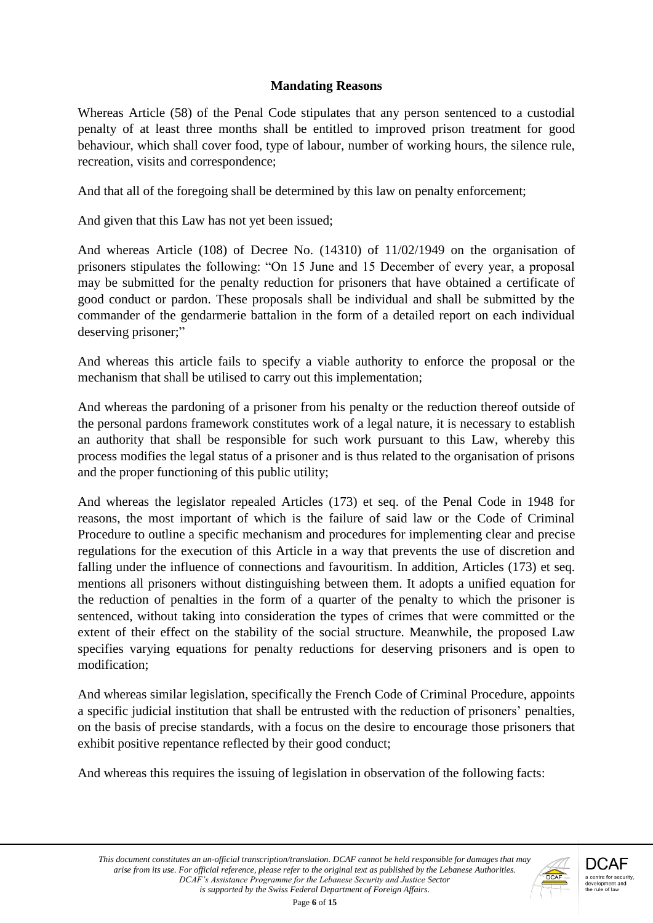# **Mandating Reasons**

Whereas Article (58) of the Penal Code stipulates that any person sentenced to a custodial penalty of at least three months shall be entitled to improved prison treatment for good behaviour, which shall cover food, type of labour, number of working hours, the silence rule, recreation, visits and correspondence;

And that all of the foregoing shall be determined by this law on penalty enforcement;

And given that this Law has not yet been issued;

And whereas Article (108) of Decree No. (14310) of 11/02/1949 on the organisation of prisoners stipulates the following: "On 15 June and 15 December of every year, a proposal may be submitted for the penalty reduction for prisoners that have obtained a certificate of good conduct or pardon. These proposals shall be individual and shall be submitted by the commander of the gendarmerie battalion in the form of a detailed report on each individual deserving prisoner;"

And whereas this article fails to specify a viable authority to enforce the proposal or the mechanism that shall be utilised to carry out this implementation;

And whereas the pardoning of a prisoner from his penalty or the reduction thereof outside of the personal pardons framework constitutes work of a legal nature, it is necessary to establish an authority that shall be responsible for such work pursuant to this Law, whereby this process modifies the legal status of a prisoner and is thus related to the organisation of prisons and the proper functioning of this public utility;

And whereas the legislator repealed Articles (173) et seq. of the Penal Code in 1948 for reasons, the most important of which is the failure of said law or the Code of Criminal Procedure to outline a specific mechanism and procedures for implementing clear and precise regulations for the execution of this Article in a way that prevents the use of discretion and falling under the influence of connections and favouritism. In addition, Articles (173) et seq. mentions all prisoners without distinguishing between them. It adopts a unified equation for the reduction of penalties in the form of a quarter of the penalty to which the prisoner is sentenced, without taking into consideration the types of crimes that were committed or the extent of their effect on the stability of the social structure. Meanwhile, the proposed Law specifies varying equations for penalty reductions for deserving prisoners and is open to modification;

And whereas similar legislation, specifically the French Code of Criminal Procedure, appoints a specific judicial institution that shall be entrusted with the reduction of prisoners' penalties, on the basis of precise standards, with a focus on the desire to encourage those prisoners that exhibit positive repentance reflected by their good conduct;

And whereas this requires the issuing of legislation in observation of the following facts:

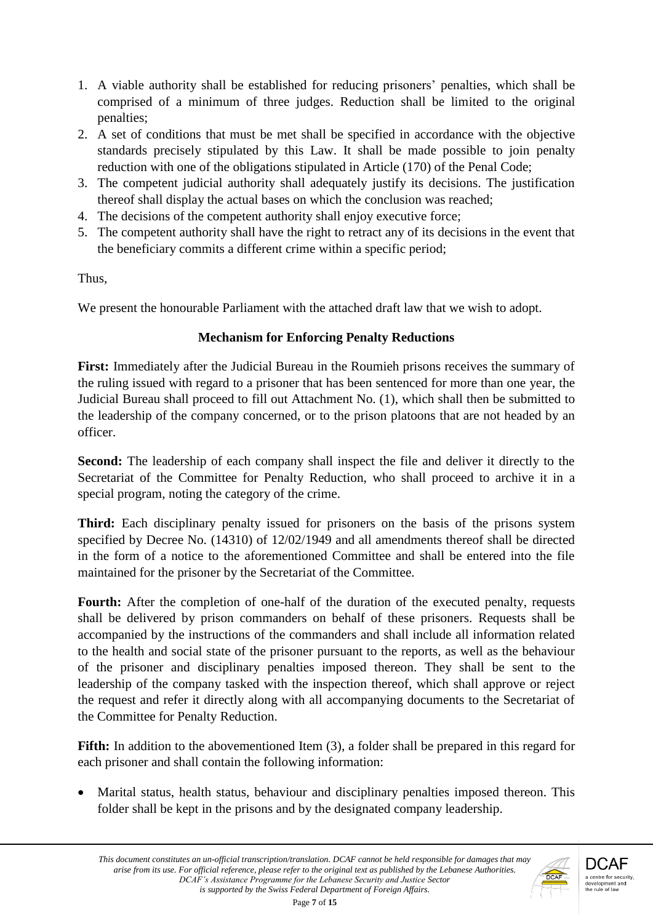- 1. A viable authority shall be established for reducing prisoners' penalties, which shall be comprised of a minimum of three judges. Reduction shall be limited to the original penalties;
- 2. A set of conditions that must be met shall be specified in accordance with the objective standards precisely stipulated by this Law. It shall be made possible to join penalty reduction with one of the obligations stipulated in Article (170) of the Penal Code;
- 3. The competent judicial authority shall adequately justify its decisions. The justification thereof shall display the actual bases on which the conclusion was reached;
- 4. The decisions of the competent authority shall enjoy executive force;
- 5. The competent authority shall have the right to retract any of its decisions in the event that the beneficiary commits a different crime within a specific period;

Thus,

We present the honourable Parliament with the attached draft law that we wish to adopt.

# **Mechanism for Enforcing Penalty Reductions**

**First:** Immediately after the Judicial Bureau in the Roumieh prisons receives the summary of the ruling issued with regard to a prisoner that has been sentenced for more than one year, the Judicial Bureau shall proceed to fill out Attachment No. (1), which shall then be submitted to the leadership of the company concerned, or to the prison platoons that are not headed by an officer.

Second: The leadership of each company shall inspect the file and deliver it directly to the Secretariat of the Committee for Penalty Reduction, who shall proceed to archive it in a special program, noting the category of the crime.

**Third:** Each disciplinary penalty issued for prisoners on the basis of the prisons system specified by Decree No. (14310) of 12/02/1949 and all amendments thereof shall be directed in the form of a notice to the aforementioned Committee and shall be entered into the file maintained for the prisoner by the Secretariat of the Committee.

Fourth: After the completion of one-half of the duration of the executed penalty, requests shall be delivered by prison commanders on behalf of these prisoners. Requests shall be accompanied by the instructions of the commanders and shall include all information related to the health and social state of the prisoner pursuant to the reports, as well as the behaviour of the prisoner and disciplinary penalties imposed thereon. They shall be sent to the leadership of the company tasked with the inspection thereof, which shall approve or reject the request and refer it directly along with all accompanying documents to the Secretariat of the Committee for Penalty Reduction.

Fifth: In addition to the abovementioned Item (3), a folder shall be prepared in this regard for each prisoner and shall contain the following information:

 Marital status, health status, behaviour and disciplinary penalties imposed thereon. This folder shall be kept in the prisons and by the designated company leadership.

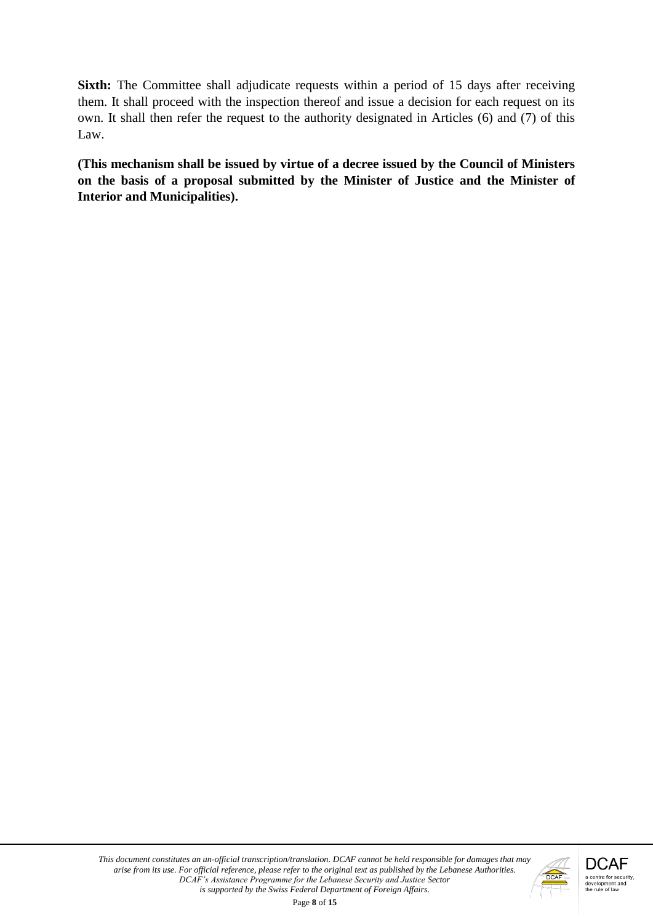**Sixth:** The Committee shall adjudicate requests within a period of 15 days after receiving them. It shall proceed with the inspection thereof and issue a decision for each request on its own. It shall then refer the request to the authority designated in Articles (6) and (7) of this Law.

**(This mechanism shall be issued by virtue of a decree issued by the Council of Ministers on the basis of a proposal submitted by the Minister of Justice and the Minister of Interior and Municipalities).** 

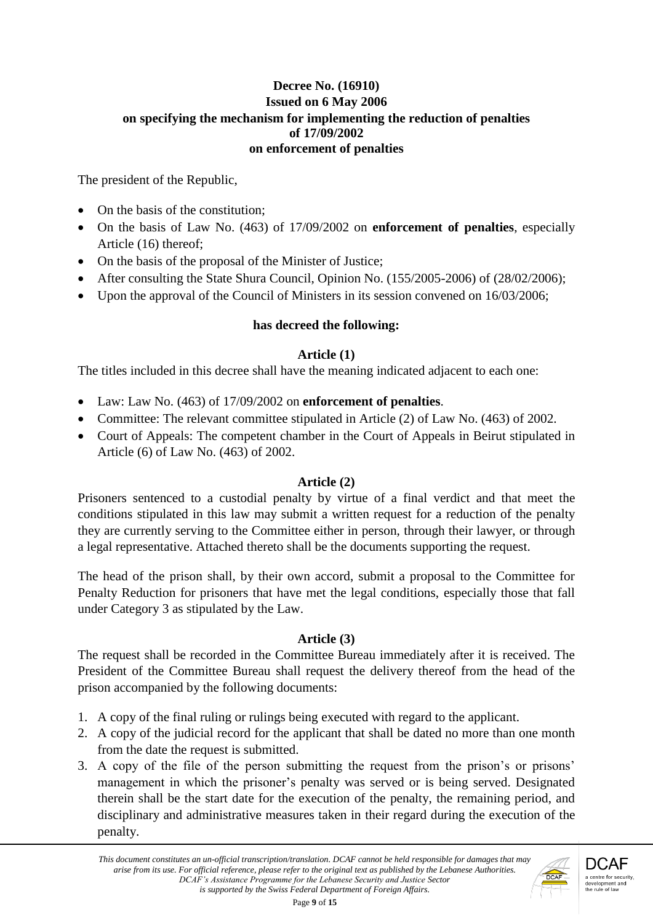### **Decree No. (16910) Issued on 6 May 2006 on specifying the mechanism for implementing the reduction of penalties of 17/09/2002 on enforcement of penalties**

The president of the Republic,

- On the basis of the constitution;
- On the basis of Law No. (463) of 17/09/2002 on **enforcement of penalties**, especially Article (16) thereof;
- On the basis of the proposal of the Minister of Justice;
- After consulting the State Shura Council, Opinion No. (155/2005-2006) of (28/02/2006);
- Upon the approval of the Council of Ministers in its session convened on  $16/03/2006$ ;

# **has decreed the following:**

# **Article (1)**

The titles included in this decree shall have the meaning indicated adjacent to each one:

- Law: Law No. (463) of 17/09/2002 on **enforcement of penalties**.
- Committee: The relevant committee stipulated in Article (2) of Law No. (463) of 2002.
- Court of Appeals: The competent chamber in the Court of Appeals in Beirut stipulated in Article (6) of Law No. (463) of 2002.

# **Article (2)**

Prisoners sentenced to a custodial penalty by virtue of a final verdict and that meet the conditions stipulated in this law may submit a written request for a reduction of the penalty they are currently serving to the Committee either in person, through their lawyer, or through a legal representative. Attached thereto shall be the documents supporting the request.

The head of the prison shall, by their own accord, submit a proposal to the Committee for Penalty Reduction for prisoners that have met the legal conditions, especially those that fall under Category 3 as stipulated by the Law.

# **Article (3)**

The request shall be recorded in the Committee Bureau immediately after it is received. The President of the Committee Bureau shall request the delivery thereof from the head of the prison accompanied by the following documents:

- 1. A copy of the final ruling or rulings being executed with regard to the applicant.
- 2. A copy of the judicial record for the applicant that shall be dated no more than one month from the date the request is submitted.
- 3. A copy of the file of the person submitting the request from the prison's or prisons' management in which the prisoner's penalty was served or is being served. Designated therein shall be the start date for the execution of the penalty, the remaining period, and disciplinary and administrative measures taken in their regard during the execution of the penalty.

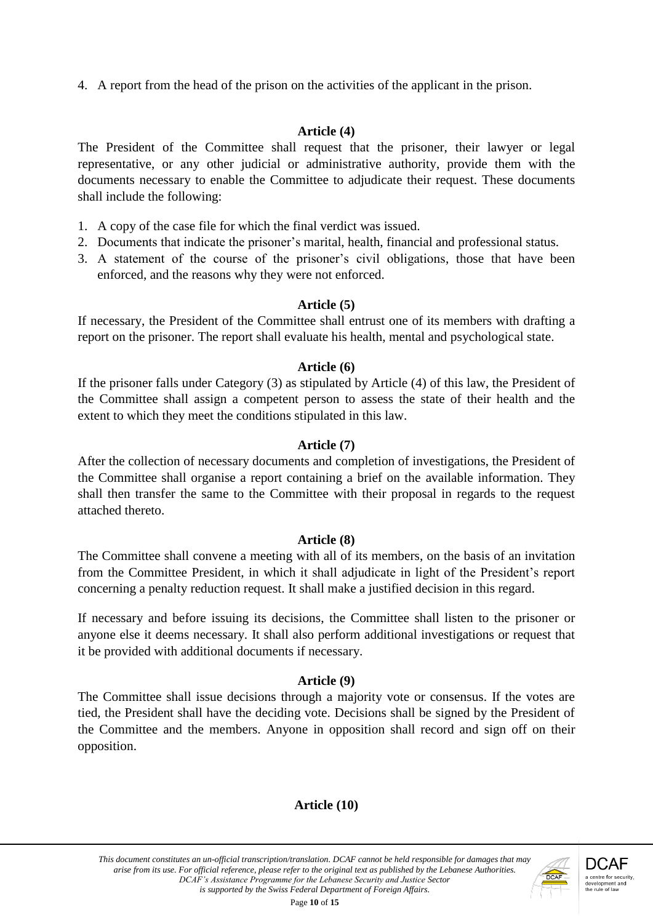4. A report from the head of the prison on the activities of the applicant in the prison.

### **Article (4)**

The President of the Committee shall request that the prisoner, their lawyer or legal representative, or any other judicial or administrative authority, provide them with the documents necessary to enable the Committee to adjudicate their request. These documents shall include the following:

- 1. A copy of the case file for which the final verdict was issued.
- 2. Documents that indicate the prisoner's marital, health, financial and professional status.
- 3. A statement of the course of the prisoner's civil obligations, those that have been enforced, and the reasons why they were not enforced.

#### **Article (5)**

If necessary, the President of the Committee shall entrust one of its members with drafting a report on the prisoner. The report shall evaluate his health, mental and psychological state.

### **Article (6)**

If the prisoner falls under Category (3) as stipulated by Article (4) of this law, the President of the Committee shall assign a competent person to assess the state of their health and the extent to which they meet the conditions stipulated in this law.

### **Article (7)**

After the collection of necessary documents and completion of investigations, the President of the Committee shall organise a report containing a brief on the available information. They shall then transfer the same to the Committee with their proposal in regards to the request attached thereto.

#### **Article (8)**

The Committee shall convene a meeting with all of its members, on the basis of an invitation from the Committee President, in which it shall adjudicate in light of the President's report concerning a penalty reduction request. It shall make a justified decision in this regard.

If necessary and before issuing its decisions, the Committee shall listen to the prisoner or anyone else it deems necessary. It shall also perform additional investigations or request that it be provided with additional documents if necessary.

#### **Article (9)**

The Committee shall issue decisions through a majority vote or consensus. If the votes are tied, the President shall have the deciding vote. Decisions shall be signed by the President of the Committee and the members. Anyone in opposition shall record and sign off on their opposition.

# **Article (10)**

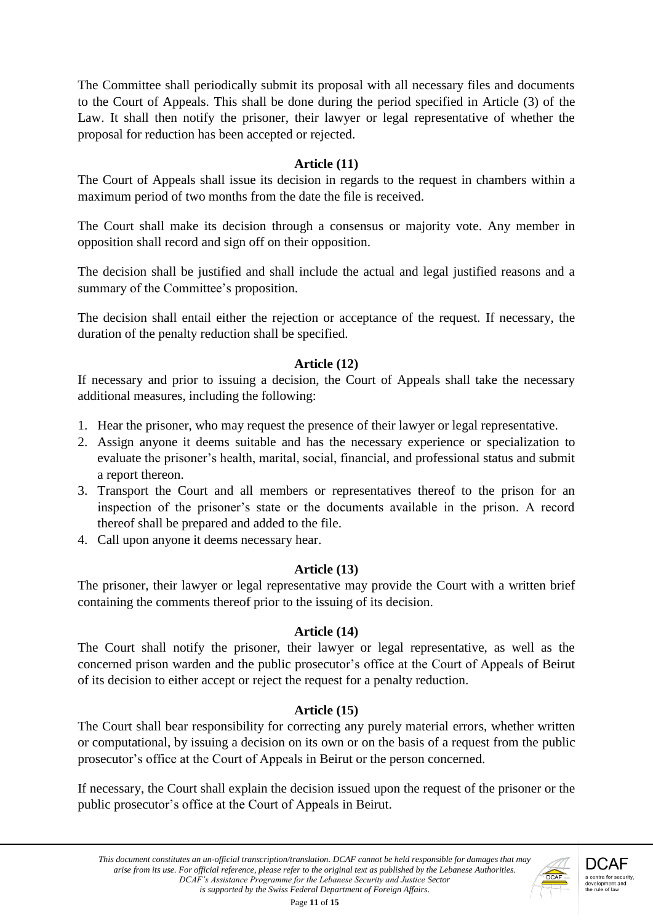The Committee shall periodically submit its proposal with all necessary files and documents to the Court of Appeals. This shall be done during the period specified in Article (3) of the Law. It shall then notify the prisoner, their lawyer or legal representative of whether the proposal for reduction has been accepted or rejected.

### **Article (11)**

The Court of Appeals shall issue its decision in regards to the request in chambers within a maximum period of two months from the date the file is received.

The Court shall make its decision through a consensus or majority vote. Any member in opposition shall record and sign off on their opposition.

The decision shall be justified and shall include the actual and legal justified reasons and a summary of the Committee's proposition.

The decision shall entail either the rejection or acceptance of the request. If necessary, the duration of the penalty reduction shall be specified.

#### **Article (12)**

If necessary and prior to issuing a decision, the Court of Appeals shall take the necessary additional measures, including the following:

- 1. Hear the prisoner, who may request the presence of their lawyer or legal representative.
- 2. Assign anyone it deems suitable and has the necessary experience or specialization to evaluate the prisoner's health, marital, social, financial, and professional status and submit a report thereon.
- 3. Transport the Court and all members or representatives thereof to the prison for an inspection of the prisoner's state or the documents available in the prison. A record thereof shall be prepared and added to the file.
- 4. Call upon anyone it deems necessary hear.

# **Article (13)**

The prisoner, their lawyer or legal representative may provide the Court with a written brief containing the comments thereof prior to the issuing of its decision.

#### **Article (14)**

The Court shall notify the prisoner, their lawyer or legal representative, as well as the concerned prison warden and the public prosecutor's office at the Court of Appeals of Beirut of its decision to either accept or reject the request for a penalty reduction.

# **Article (15)**

The Court shall bear responsibility for correcting any purely material errors, whether written or computational, by issuing a decision on its own or on the basis of a request from the public prosecutor's office at the Court of Appeals in Beirut or the person concerned.

If necessary, the Court shall explain the decision issued upon the request of the prisoner or the public prosecutor's office at the Court of Appeals in Beirut.

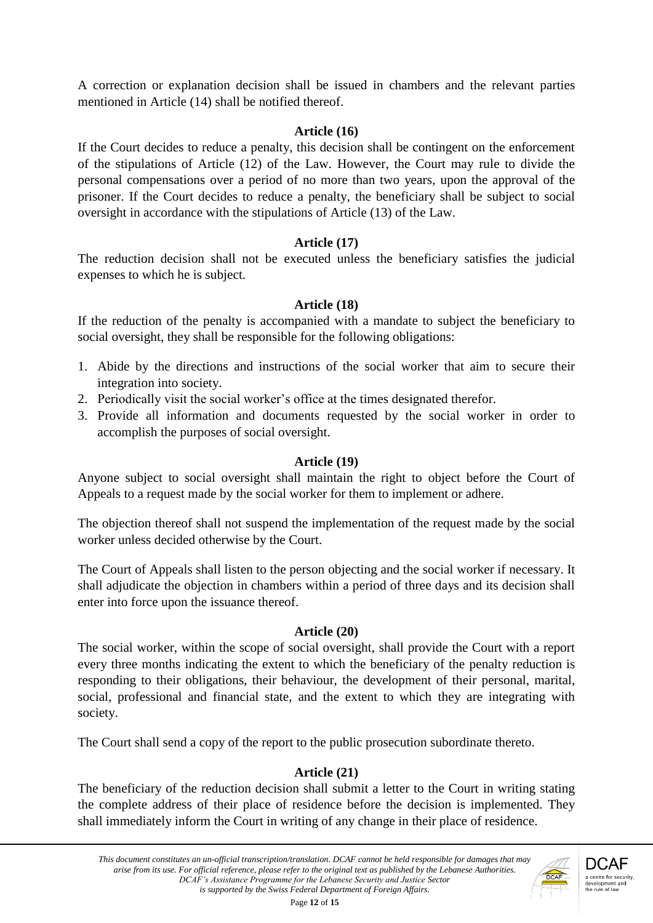A correction or explanation decision shall be issued in chambers and the relevant parties mentioned in Article (14) shall be notified thereof.

#### **Article (16)**

If the Court decides to reduce a penalty, this decision shall be contingent on the enforcement of the stipulations of Article (12) of the Law. However, the Court may rule to divide the personal compensations over a period of no more than two years, upon the approval of the prisoner. If the Court decides to reduce a penalty, the beneficiary shall be subject to social oversight in accordance with the stipulations of Article (13) of the Law.

### **Article (17)**

The reduction decision shall not be executed unless the beneficiary satisfies the judicial expenses to which he is subject.

### **Article (18)**

If the reduction of the penalty is accompanied with a mandate to subject the beneficiary to social oversight, they shall be responsible for the following obligations:

- 1. Abide by the directions and instructions of the social worker that aim to secure their integration into society.
- 2. Periodically visit the social worker's office at the times designated therefor.
- 3. Provide all information and documents requested by the social worker in order to accomplish the purposes of social oversight.

#### **Article (19)**

Anyone subject to social oversight shall maintain the right to object before the Court of Appeals to a request made by the social worker for them to implement or adhere.

The objection thereof shall not suspend the implementation of the request made by the social worker unless decided otherwise by the Court.

The Court of Appeals shall listen to the person objecting and the social worker if necessary. It shall adjudicate the objection in chambers within a period of three days and its decision shall enter into force upon the issuance thereof.

#### **Article (20)**

The social worker, within the scope of social oversight, shall provide the Court with a report every three months indicating the extent to which the beneficiary of the penalty reduction is responding to their obligations, their behaviour, the development of their personal, marital, social, professional and financial state, and the extent to which they are integrating with society.

The Court shall send a copy of the report to the public prosecution subordinate thereto.

# **Article (21)**

The beneficiary of the reduction decision shall submit a letter to the Court in writing stating the complete address of their place of residence before the decision is implemented. They shall immediately inform the Court in writing of any change in their place of residence.



Page **12** of **15**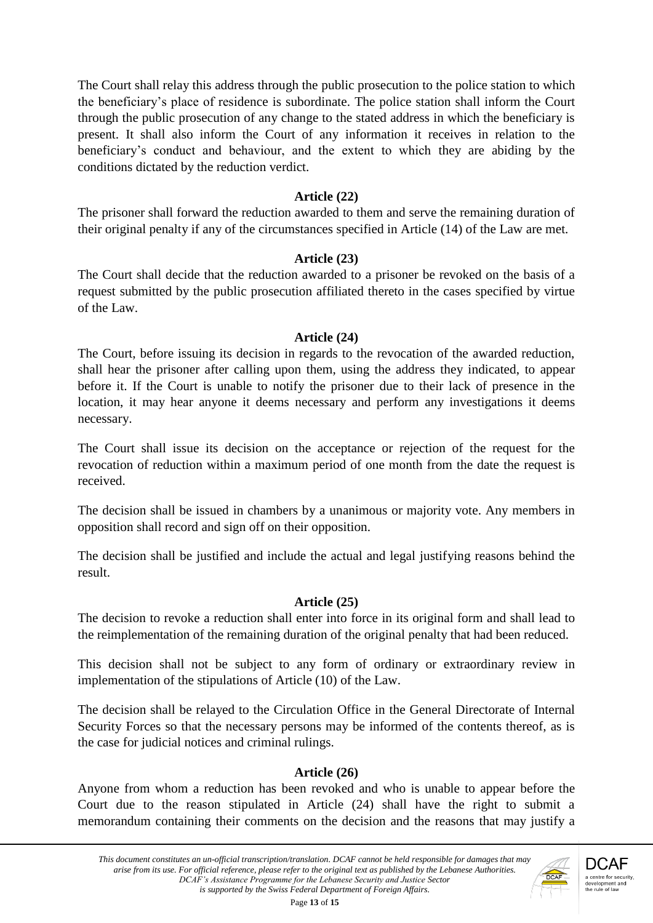The Court shall relay this address through the public prosecution to the police station to which the beneficiary's place of residence is subordinate. The police station shall inform the Court through the public prosecution of any change to the stated address in which the beneficiary is present. It shall also inform the Court of any information it receives in relation to the beneficiary's conduct and behaviour, and the extent to which they are abiding by the conditions dictated by the reduction verdict.

#### **Article (22)**

The prisoner shall forward the reduction awarded to them and serve the remaining duration of their original penalty if any of the circumstances specified in Article (14) of the Law are met.

#### **Article (23)**

The Court shall decide that the reduction awarded to a prisoner be revoked on the basis of a request submitted by the public prosecution affiliated thereto in the cases specified by virtue of the Law.

#### **Article (24)**

The Court, before issuing its decision in regards to the revocation of the awarded reduction, shall hear the prisoner after calling upon them, using the address they indicated, to appear before it. If the Court is unable to notify the prisoner due to their lack of presence in the location, it may hear anyone it deems necessary and perform any investigations it deems necessary.

The Court shall issue its decision on the acceptance or rejection of the request for the revocation of reduction within a maximum period of one month from the date the request is received.

The decision shall be issued in chambers by a unanimous or majority vote. Any members in opposition shall record and sign off on their opposition.

The decision shall be justified and include the actual and legal justifying reasons behind the result.

#### **Article (25)**

The decision to revoke a reduction shall enter into force in its original form and shall lead to the reimplementation of the remaining duration of the original penalty that had been reduced.

This decision shall not be subject to any form of ordinary or extraordinary review in implementation of the stipulations of Article (10) of the Law.

The decision shall be relayed to the Circulation Office in the General Directorate of Internal Security Forces so that the necessary persons may be informed of the contents thereof, as is the case for judicial notices and criminal rulings.

#### **Article (26)**

Anyone from whom a reduction has been revoked and who is unable to appear before the Court due to the reason stipulated in Article (24) shall have the right to submit a memorandum containing their comments on the decision and the reasons that may justify a



Page **13** of **15**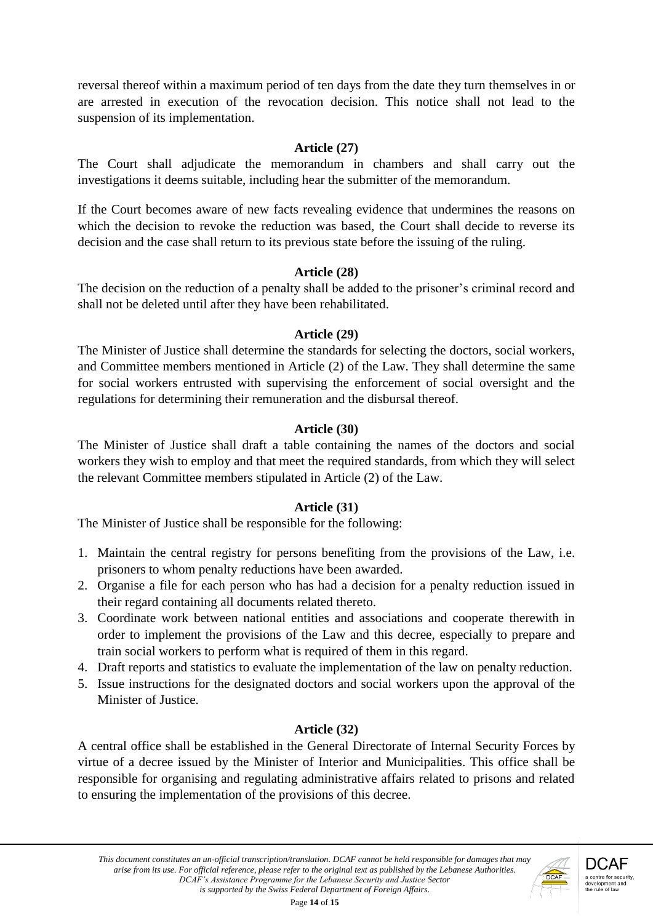reversal thereof within a maximum period of ten days from the date they turn themselves in or are arrested in execution of the revocation decision. This notice shall not lead to the suspension of its implementation.

### **Article (27)**

The Court shall adjudicate the memorandum in chambers and shall carry out the investigations it deems suitable, including hear the submitter of the memorandum.

If the Court becomes aware of new facts revealing evidence that undermines the reasons on which the decision to revoke the reduction was based, the Court shall decide to reverse its decision and the case shall return to its previous state before the issuing of the ruling.

# **Article (28)**

The decision on the reduction of a penalty shall be added to the prisoner's criminal record and shall not be deleted until after they have been rehabilitated.

### **Article (29)**

The Minister of Justice shall determine the standards for selecting the doctors, social workers, and Committee members mentioned in Article (2) of the Law. They shall determine the same for social workers entrusted with supervising the enforcement of social oversight and the regulations for determining their remuneration and the disbursal thereof.

# **Article (30)**

The Minister of Justice shall draft a table containing the names of the doctors and social workers they wish to employ and that meet the required standards, from which they will select the relevant Committee members stipulated in Article (2) of the Law.

# **Article (31)**

The Minister of Justice shall be responsible for the following:

- 1. Maintain the central registry for persons benefiting from the provisions of the Law, i.e. prisoners to whom penalty reductions have been awarded.
- 2. Organise a file for each person who has had a decision for a penalty reduction issued in their regard containing all documents related thereto.
- 3. Coordinate work between national entities and associations and cooperate therewith in order to implement the provisions of the Law and this decree, especially to prepare and train social workers to perform what is required of them in this regard.
- 4. Draft reports and statistics to evaluate the implementation of the law on penalty reduction.
- 5. Issue instructions for the designated doctors and social workers upon the approval of the Minister of Justice.

# **Article (32)**

A central office shall be established in the General Directorate of Internal Security Forces by virtue of a decree issued by the Minister of Interior and Municipalities. This office shall be responsible for organising and regulating administrative affairs related to prisons and related to ensuring the implementation of the provisions of this decree.